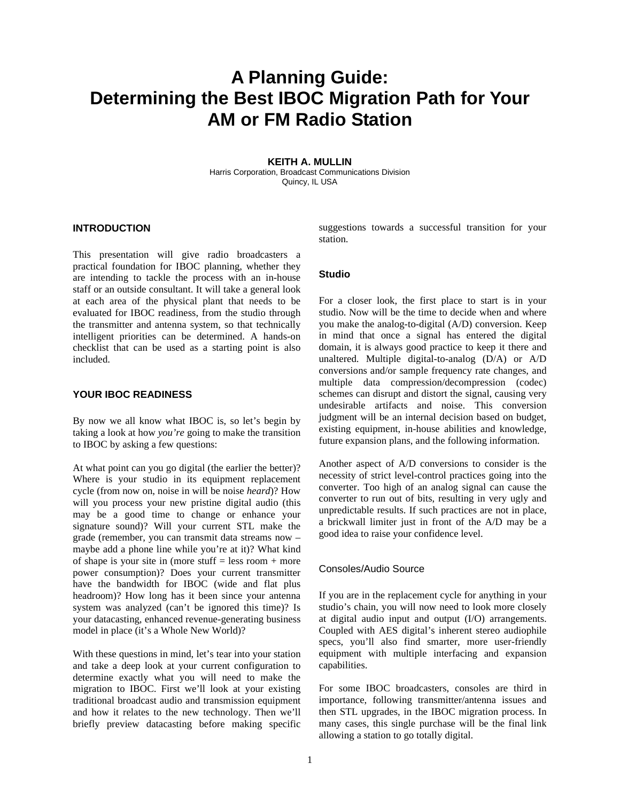# **A Planning Guide: Determining the Best IBOC Migration Path for Your AM or FM Radio Station**

**KEITH A. MULLIN**  Harris Corporation, Broadcast Communications Division Quincy, IL USA

## **INTRODUCTION**

This presentation will give radio broadcasters a practical foundation for IBOC planning, whether they are intending to tackle the process with an in-house staff or an outside consultant. It will take a general look at each area of the physical plant that needs to be evaluated for IBOC readiness, from the studio through the transmitter and antenna system, so that technically intelligent priorities can be determined. A hands-on checklist that can be used as a starting point is also included.

#### **YOUR IBOC READINESS**

By now we all know what IBOC is, so let's begin by taking a look at how *you're* going to make the transition to IBOC by asking a few questions:

At what point can you go digital (the earlier the better)? Where is your studio in its equipment replacement cycle (from now on, noise in will be noise *heard*)? How will you process your new pristine digital audio (this may be a good time to change or enhance your signature sound)? Will your current STL make the grade (remember, you can transmit data streams now – maybe add a phone line while you're at it)? What kind of shape is your site in (more stuff  $=$  less room  $+$  more power consumption)? Does your current transmitter have the bandwidth for IBOC (wide and flat plus headroom)? How long has it been since your antenna system was analyzed (can't be ignored this time)? Is your datacasting, enhanced revenue-generating business model in place (it's a Whole New World)?

With these questions in mind, let's tear into your station and take a deep look at your current configuration to determine exactly what you will need to make the migration to IBOC. First we'll look at your existing traditional broadcast audio and transmission equipment and how it relates to the new technology. Then we'll briefly preview datacasting before making specific

suggestions towards a successful transition for your station.

## **Studio**

For a closer look, the first place to start is in your studio. Now will be the time to decide when and where you make the analog-to-digital (A/D) conversion. Keep in mind that once a signal has entered the digital domain, it is always good practice to keep it there and unaltered. Multiple digital-to-analog (D/A) or A/D conversions and/or sample frequency rate changes, and multiple data compression/decompression (codec) schemes can disrupt and distort the signal, causing very undesirable artifacts and noise. This conversion judgment will be an internal decision based on budget, existing equipment, in-house abilities and knowledge, future expansion plans, and the following information.

Another aspect of A/D conversions to consider is the necessity of strict level-control practices going into the converter. Too high of an analog signal can cause the converter to run out of bits, resulting in very ugly and unpredictable results. If such practices are not in place, a brickwall limiter just in front of the A/D may be a good idea to raise your confidence level.

#### Consoles/Audio Source

If you are in the replacement cycle for anything in your studio's chain, you will now need to look more closely at digital audio input and output (I/O) arrangements. Coupled with AES digital's inherent stereo audiophile specs, you'll also find smarter, more user-friendly equipment with multiple interfacing and expansion capabilities.

For some IBOC broadcasters, consoles are third in importance, following transmitter/antenna issues and then STL upgrades, in the IBOC migration process. In many cases, this single purchase will be the final link allowing a station to go totally digital.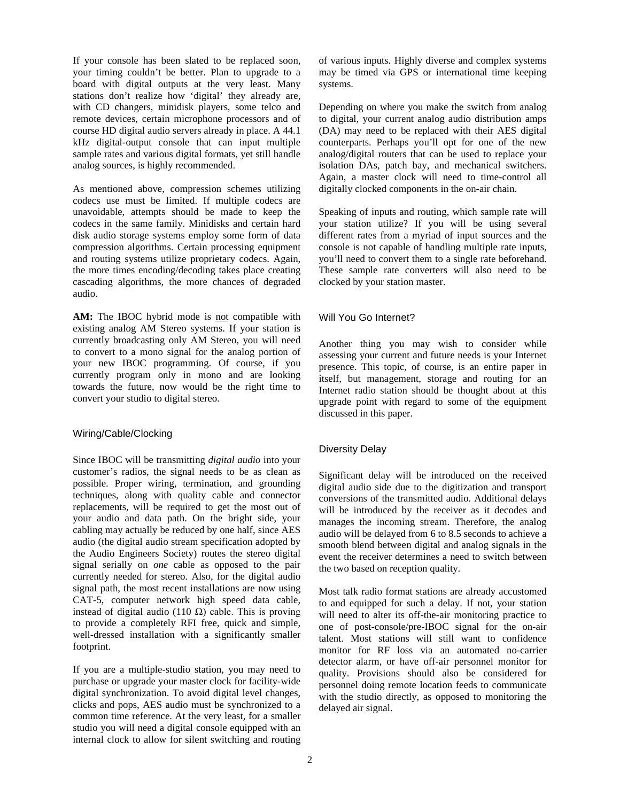If your console has been slated to be replaced soon, your timing couldn't be better. Plan to upgrade to a board with digital outputs at the very least. Many stations don't realize how 'digital' they already are, with CD changers, minidisk players, some telco and remote devices, certain microphone processors and of course HD digital audio servers already in place. A 44.1 kHz digital-output console that can input multiple sample rates and various digital formats, yet still handle analog sources, is highly recommended.

As mentioned above, compression schemes utilizing codecs use must be limited. If multiple codecs are unavoidable, attempts should be made to keep the codecs in the same family. Minidisks and certain hard disk audio storage systems employ some form of data compression algorithms. Certain processing equipment and routing systems utilize proprietary codecs. Again, the more times encoding/decoding takes place creating cascading algorithms, the more chances of degraded audio.

AM: The IBOC hybrid mode is not compatible with existing analog AM Stereo systems. If your station is currently broadcasting only AM Stereo, you will need to convert to a mono signal for the analog portion of your new IBOC programming. Of course, if you currently program only in mono and are looking towards the future, now would be the right time to convert your studio to digital stereo.

# Wiring/Cable/Clocking

Since IBOC will be transmitting *digital audio* into your customer's radios, the signal needs to be as clean as possible. Proper wiring, termination, and grounding techniques, along with quality cable and connector replacements, will be required to get the most out of your audio and data path. On the bright side, your cabling may actually be reduced by one half, since AES audio (the digital audio stream specification adopted by the Audio Engineers Society) routes the stereo digital signal serially on *one* cable as opposed to the pair currently needed for stereo. Also, for the digital audio signal path, the most recent installations are now using CAT-5, computer network high speed data cable, instead of digital audio (110  $\Omega$ ) cable. This is proving to provide a completely RFI free, quick and simple, well-dressed installation with a significantly smaller footprint.

If you are a multiple-studio station, you may need to purchase or upgrade your master clock for facility-wide digital synchronization. To avoid digital level changes, clicks and pops, AES audio must be synchronized to a common time reference. At the very least, for a smaller studio you will need a digital console equipped with an internal clock to allow for silent switching and routing

of various inputs. Highly diverse and complex systems may be timed via GPS or international time keeping systems.

Depending on where you make the switch from analog to digital, your current analog audio distribution amps (DA) may need to be replaced with their AES digital counterparts. Perhaps you'll opt for one of the new analog/digital routers that can be used to replace your isolation DAs, patch bay, and mechanical switchers. Again, a master clock will need to time-control all digitally clocked components in the on-air chain.

Speaking of inputs and routing, which sample rate will your station utilize? If you will be using several different rates from a myriad of input sources and the console is not capable of handling multiple rate inputs, you'll need to convert them to a single rate beforehand. These sample rate converters will also need to be clocked by your station master.

# Will You Go Internet?

Another thing you may wish to consider while assessing your current and future needs is your Internet presence. This topic, of course, is an entire paper in itself, but management, storage and routing for an Internet radio station should be thought about at this upgrade point with regard to some of the equipment discussed in this paper.

# Diversity Delay

Significant delay will be introduced on the received digital audio side due to the digitization and transport conversions of the transmitted audio. Additional delays will be introduced by the receiver as it decodes and manages the incoming stream. Therefore, the analog audio will be delayed from 6 to 8.5 seconds to achieve a smooth blend between digital and analog signals in the event the receiver determines a need to switch between the two based on reception quality.

Most talk radio format stations are already accustomed to and equipped for such a delay. If not, your station will need to alter its off-the-air monitoring practice to one of post-console/pre-IBOC signal for the on-air talent. Most stations will still want to confidence monitor for RF loss via an automated no-carrier detector alarm, or have off-air personnel monitor for quality. Provisions should also be considered for personnel doing remote location feeds to communicate with the studio directly, as opposed to monitoring the delayed air signal.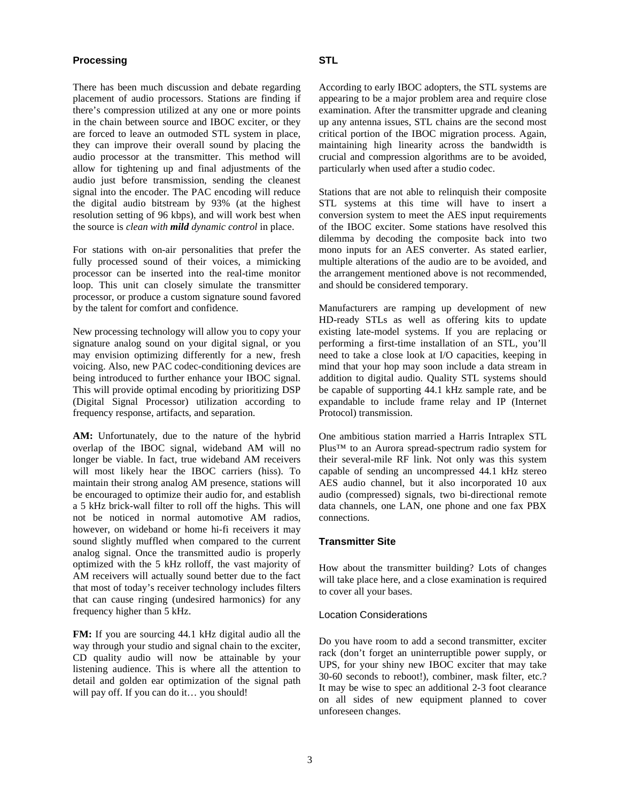## **Processing**

There has been much discussion and debate regarding placement of audio processors. Stations are finding if there's compression utilized at any one or more points in the chain between source and IBOC exciter, or they are forced to leave an outmoded STL system in place, they can improve their overall sound by placing the audio processor at the transmitter. This method will allow for tightening up and final adjustments of the audio just before transmission, sending the cleanest signal into the encoder. The PAC encoding will reduce the digital audio bitstream by 93% (at the highest resolution setting of 96 kbps), and will work best when the source is *clean with mild dynamic control* in place.

For stations with on-air personalities that prefer the fully processed sound of their voices, a mimicking processor can be inserted into the real-time monitor loop. This unit can closely simulate the transmitter processor, or produce a custom signature sound favored by the talent for comfort and confidence.

New processing technology will allow you to copy your signature analog sound on your digital signal, or you may envision optimizing differently for a new, fresh voicing. Also, new PAC codec-conditioning devices are being introduced to further enhance your IBOC signal. This will provide optimal encoding by prioritizing DSP (Digital Signal Processor) utilization according to frequency response, artifacts, and separation.

**AM:** Unfortunately, due to the nature of the hybrid overlap of the IBOC signal, wideband AM will no longer be viable. In fact, true wideband AM receivers will most likely hear the IBOC carriers (hiss). To maintain their strong analog AM presence, stations will be encouraged to optimize their audio for, and establish a 5 kHz brick-wall filter to roll off the highs. This will not be noticed in normal automotive AM radios, however, on wideband or home hi-fi receivers it may sound slightly muffled when compared to the current analog signal. Once the transmitted audio is properly optimized with the 5 kHz rolloff, the vast majority of AM receivers will actually sound better due to the fact that most of today's receiver technology includes filters that can cause ringing (undesired harmonics) for any frequency higher than 5 kHz.

**FM:** If you are sourcing 44.1 kHz digital audio all the way through your studio and signal chain to the exciter, CD quality audio will now be attainable by your listening audience. This is where all the attention to detail and golden ear optimization of the signal path will pay off. If you can do it... you should!

According to early IBOC adopters, the STL systems are appearing to be a major problem area and require close examination. After the transmitter upgrade and cleaning up any antenna issues, STL chains are the second most critical portion of the IBOC migration process. Again, maintaining high linearity across the bandwidth is crucial and compression algorithms are to be avoided, particularly when used after a studio codec.

Stations that are not able to relinquish their composite STL systems at this time will have to insert a conversion system to meet the AES input requirements of the IBOC exciter. Some stations have resolved this dilemma by decoding the composite back into two mono inputs for an AES converter. As stated earlier, multiple alterations of the audio are to be avoided, and the arrangement mentioned above is not recommended, and should be considered temporary.

Manufacturers are ramping up development of new HD-ready STLs as well as offering kits to update existing late-model systems. If you are replacing or performing a first-time installation of an STL, you'll need to take a close look at I/O capacities, keeping in mind that your hop may soon include a data stream in addition to digital audio. Quality STL systems should be capable of supporting 44.1 kHz sample rate, and be expandable to include frame relay and IP (Internet Protocol) transmission.

One ambitious station married a Harris Intraplex STL Plus<sup>™</sup> to an Aurora spread-spectrum radio system for their several-mile RF link. Not only was this system capable of sending an uncompressed 44.1 kHz stereo AES audio channel, but it also incorporated 10 aux audio (compressed) signals, two bi-directional remote data channels, one LAN, one phone and one fax PBX connections.

# **Transmitter Site**

How about the transmitter building? Lots of changes will take place here, and a close examination is required to cover all your bases.

# Location Considerations

Do you have room to add a second transmitter, exciter rack (don't forget an uninterruptible power supply, or UPS, for your shiny new IBOC exciter that may take 30-60 seconds to reboot!), combiner, mask filter, etc.? It may be wise to spec an additional 2-3 foot clearance on all sides of new equipment planned to cover unforeseen changes.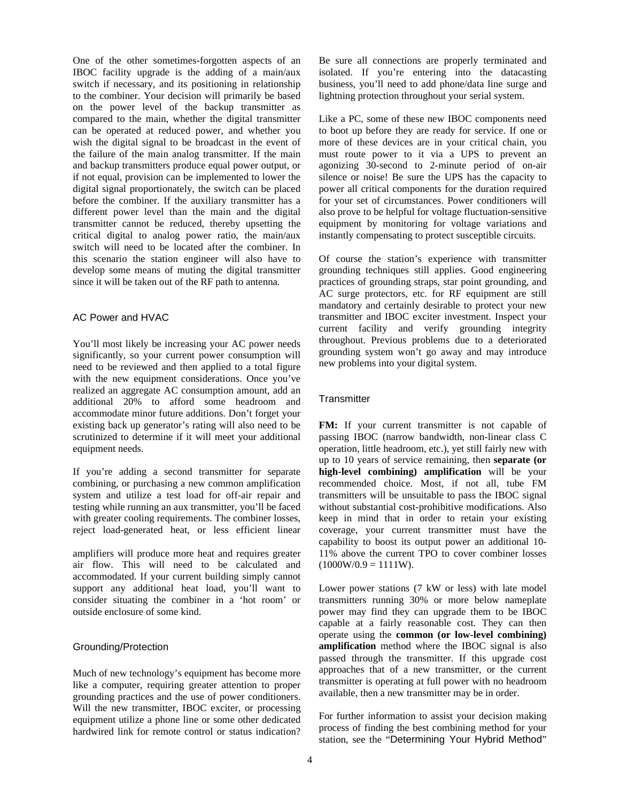One of the other sometimes-forgotten aspects of an IBOC facility upgrade is the adding of a main/aux switch if necessary, and its positioning in relationship to the combiner. Your decision will primarily be based on the power level of the backup transmitter as compared to the main, whether the digital transmitter can be operated at reduced power, and whether you wish the digital signal to be broadcast in the event of the failure of the main analog transmitter. If the main and backup transmitters produce equal power output, or if not equal, provision can be implemented to lower the digital signal proportionately, the switch can be placed before the combiner. If the auxiliary transmitter has a different power level than the main and the digital transmitter cannot be reduced, thereby upsetting the critical digital to analog power ratio, the main/aux switch will need to be located after the combiner. In this scenario the station engineer will also have to develop some means of muting the digital transmitter since it will be taken out of the RF path to antenna.

# AC Power and HVAC

You'll most likely be increasing your AC power needs significantly, so your current power consumption will need to be reviewed and then applied to a total figure with the new equipment considerations. Once you've realized an aggregate AC consumption amount, add an additional 20% to afford some headroom and accommodate minor future additions. Don't forget your existing back up generator's rating will also need to be scrutinized to determine if it will meet your additional equipment needs.

If you're adding a second transmitter for separate combining, or purchasing a new common amplification system and utilize a test load for off-air repair and testing while running an aux transmitter, you'll be faced with greater cooling requirements. The combiner losses, reject load-generated heat, or less efficient linear

amplifiers will produce more heat and requires greater air flow. This will need to be calculated and accommodated. If your current building simply cannot support any additional heat load, you'll want to consider situating the combiner in a 'hot room' or outside enclosure of some kind.

# Grounding/Protection

Much of new technology's equipment has become more like a computer, requiring greater attention to proper grounding practices and the use of power conditioners. Will the new transmitter, IBOC exciter, or processing equipment utilize a phone line or some other dedicated hardwired link for remote control or status indication?

Be sure all connections are properly terminated and isolated. If you're entering into the datacasting business, you'll need to add phone/data line surge and lightning protection throughout your serial system.

Like a PC, some of these new IBOC components need to boot up before they are ready for service. If one or more of these devices are in your critical chain, you must route power to it via a UPS to prevent an agonizing 30-second to 2-minute period of on-air silence or noise! Be sure the UPS has the capacity to power all critical components for the duration required for your set of circumstances. Power conditioners will also prove to be helpful for voltage fluctuation-sensitive equipment by monitoring for voltage variations and instantly compensating to protect susceptible circuits.

Of course the station's experience with transmitter grounding techniques still applies. Good engineering practices of grounding straps, star point grounding, and AC surge protectors, etc. for RF equipment are still mandatory and certainly desirable to protect your new transmitter and IBOC exciter investment. Inspect your current facility and verify grounding integrity throughout. Previous problems due to a deteriorated grounding system won't go away and may introduce new problems into your digital system.

#### **Transmitter**

**FM:** If your current transmitter is not capable of passing IBOC (narrow bandwidth, non-linear class C operation, little headroom, etc.), yet still fairly new with up to 10 years of service remaining, then **separate (or high-level combining) amplification** will be your recommended choice. Most, if not all, tube FM transmitters will be unsuitable to pass the IBOC signal without substantial cost-prohibitive modifications. Also keep in mind that in order to retain your existing coverage, your current transmitter must have the capability to boost its output power an additional 10- 11% above the current TPO to cover combiner losses  $(1000W/0.9 = 1111W)$ .

Lower power stations (7 kW or less) with late model transmitters running 30% or more below nameplate power may find they can upgrade them to be IBOC capable at a fairly reasonable cost. They can then operate using the **common (or low-level combining) amplification** method where the IBOC signal is also passed through the transmitter. If this upgrade cost approaches that of a new transmitter, or the current transmitter is operating at full power with no headroom available, then a new transmitter may be in order.

For further information to assist your decision making process of finding the best combining method for your station, see the "Determining Your Hybrid Method"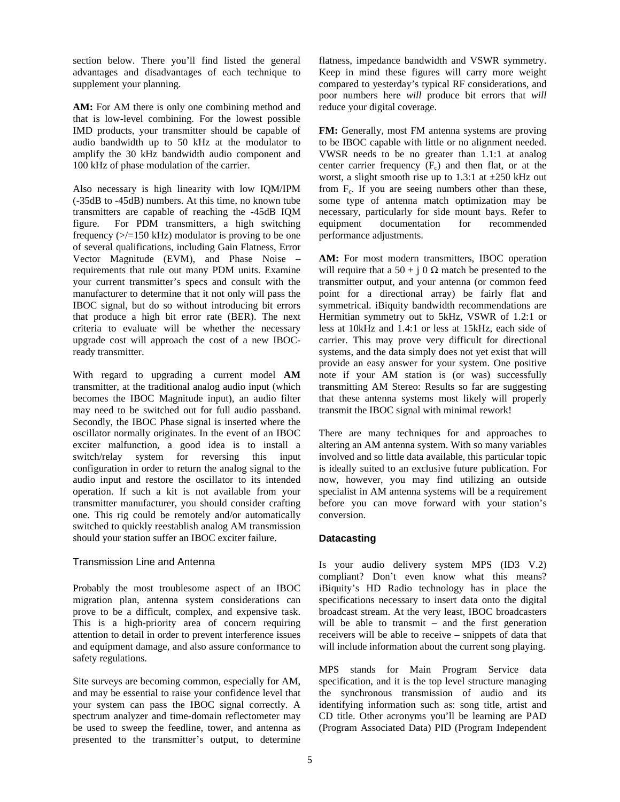section below. There you'll find listed the general advantages and disadvantages of each technique to supplement your planning.

**AM:** For AM there is only one combining method and that is low-level combining. For the lowest possible IMD products, your transmitter should be capable of audio bandwidth up to 50 kHz at the modulator to amplify the 30 kHz bandwidth audio component and 100 kHz of phase modulation of the carrier.

Also necessary is high linearity with low IQM/IPM (-35dB to -45dB) numbers. At this time, no known tube transmitters are capable of reaching the -45dB IQM figure. For PDM transmitters, a high switching frequency  $\left(\frac{1}{2}\right)$  frequency ( $\left(\frac{1}{2}\right)$  kHz) modulator is proving to be one of several qualifications, including Gain Flatness, Error Vector Magnitude (EVM), and Phase Noise – requirements that rule out many PDM units. Examine your current transmitter's specs and consult with the manufacturer to determine that it not only will pass the IBOC signal, but do so without introducing bit errors that produce a high bit error rate (BER). The next criteria to evaluate will be whether the necessary upgrade cost will approach the cost of a new IBOCready transmitter.

With regard to upgrading a current model **AM** transmitter, at the traditional analog audio input (which becomes the IBOC Magnitude input), an audio filter may need to be switched out for full audio passband. Secondly, the IBOC Phase signal is inserted where the oscillator normally originates. In the event of an IBOC exciter malfunction, a good idea is to install a switch/relay system for reversing this input configuration in order to return the analog signal to the audio input and restore the oscillator to its intended operation. If such a kit is not available from your transmitter manufacturer, you should consider crafting one. This rig could be remotely and/or automatically switched to quickly reestablish analog AM transmission should your station suffer an IBOC exciter failure.

# Transmission Line and Antenna

Probably the most troublesome aspect of an IBOC migration plan, antenna system considerations can prove to be a difficult, complex, and expensive task. This is a high-priority area of concern requiring attention to detail in order to prevent interference issues and equipment damage, and also assure conformance to safety regulations.

Site surveys are becoming common, especially for AM, and may be essential to raise your confidence level that your system can pass the IBOC signal correctly. A spectrum analyzer and time-domain reflectometer may be used to sweep the feedline, tower, and antenna as presented to the transmitter's output, to determine

flatness, impedance bandwidth and VSWR symmetry. Keep in mind these figures will carry more weight compared to yesterday's typical RF considerations, and poor numbers here *will* produce bit errors that *will*  reduce your digital coverage.

**FM:** Generally, most FM antenna systems are proving to be IBOC capable with little or no alignment needed. VWSR needs to be no greater than 1.1:1 at analog center carrier frequency  $(F_c)$  and then flat, or at the worst, a slight smooth rise up to 1.3:1 at ±250 kHz out from  $F_c$ . If you are seeing numbers other than these, some type of antenna match optimization may be necessary, particularly for side mount bays. Refer to equipment documentation for recommended performance adjustments.

AM: For most modern transmitters, IBOC operation will require that a 50 + j 0  $\Omega$  match be presented to the transmitter output, and your antenna (or common feed point for a directional array) be fairly flat and symmetrical. iBiquity bandwidth recommendations are Hermitian symmetry out to 5kHz, VSWR of 1.2:1 or less at 10kHz and 1.4:1 or less at 15kHz, each side of carrier. This may prove very difficult for directional systems, and the data simply does not yet exist that will provide an easy answer for your system. One positive note if your AM station is (or was) successfully transmitting AM Stereo: Results so far are suggesting that these antenna systems most likely will properly transmit the IBOC signal with minimal rework!

There are many techniques for and approaches to altering an AM antenna system. With so many variables involved and so little data available, this particular topic is ideally suited to an exclusive future publication. For now, however, you may find utilizing an outside specialist in AM antenna systems will be a requirement before you can move forward with your station's conversion.

# **Datacasting**

Is your audio delivery system MPS (ID3 V.2) compliant? Don't even know what this means? iBiquity's HD Radio technology has in place the specifications necessary to insert data onto the digital broadcast stream. At the very least, IBOC broadcasters will be able to transmit – and the first generation receivers will be able to receive – snippets of data that will include information about the current song playing.

MPS stands for Main Program Service data specification, and it is the top level structure managing the synchronous transmission of audio and its identifying information such as: song title, artist and CD title. Other acronyms you'll be learning are PAD (Program Associated Data) PID (Program Independent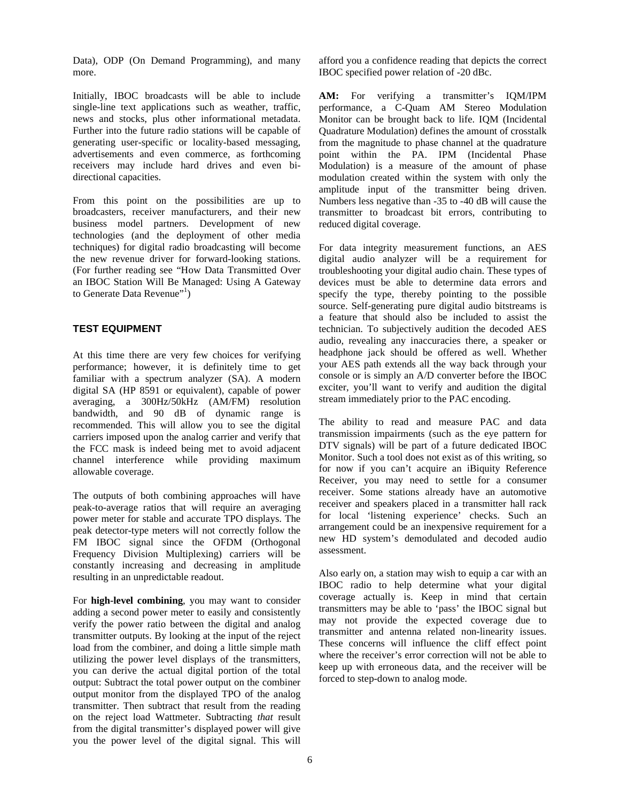Data), ODP (On Demand Programming), and many more.

Initially, IBOC broadcasts will be able to include single-line text applications such as weather, traffic, news and stocks, plus other informational metadata. Further into the future radio stations will be capable of generating user-specific or locality-based messaging, advertisements and even commerce, as forthcoming receivers may include hard drives and even bidirectional capacities.

From this point on the possibilities are up to broadcasters, receiver manufacturers, and their new business model partners. Development of new technologies (and the deployment of other media techniques) for digital radio broadcasting will become the new revenue driver for forward-looking stations. (For further reading see "How Data Transmitted Over an IBOC Station Will Be Managed: Using A Gateway to Generate Data Revenue"<sup>1</sup>)

# **TEST EQUIPMENT**

At this time there are very few choices for verifying performance; however, it is definitely time to get familiar with a spectrum analyzer (SA). A modern digital SA (HP 8591 or equivalent), capable of power averaging, a 300Hz/50kHz (AM/FM) resolution bandwidth, and 90 dB of dynamic range is recommended. This will allow you to see the digital carriers imposed upon the analog carrier and verify that the FCC mask is indeed being met to avoid adjacent channel interference while providing maximum allowable coverage.

The outputs of both combining approaches will have peak-to-average ratios that will require an averaging power meter for stable and accurate TPO displays. The peak detector-type meters will not correctly follow the FM IBOC signal since the OFDM (Orthogonal Frequency Division Multiplexing) carriers will be constantly increasing and decreasing in amplitude resulting in an unpredictable readout.

For **high-level combining**, you may want to consider adding a second power meter to easily and consistently verify the power ratio between the digital and analog transmitter outputs. By looking at the input of the reject load from the combiner, and doing a little simple math utilizing the power level displays of the transmitters, you can derive the actual digital portion of the total output: Subtract the total power output on the combiner output monitor from the displayed TPO of the analog transmitter. Then subtract that result from the reading on the reject load Wattmeter. Subtracting *that* result from the digital transmitter's displayed power will give you the power level of the digital signal. This will

afford you a confidence reading that depicts the correct IBOC specified power relation of -20 dBc.

**AM:** For verifying a transmitter's IQM/IPM performance, a C-Quam AM Stereo Modulation Monitor can be brought back to life. IQM (Incidental Quadrature Modulation) defines the amount of crosstalk from the magnitude to phase channel at the quadrature point within the PA. IPM (Incidental Phase Modulation) is a measure of the amount of phase modulation created within the system with only the amplitude input of the transmitter being driven. Numbers less negative than -35 to -40 dB will cause the transmitter to broadcast bit errors, contributing to reduced digital coverage.

For data integrity measurement functions, an AES digital audio analyzer will be a requirement for troubleshooting your digital audio chain. These types of devices must be able to determine data errors and specify the type, thereby pointing to the possible source. Self-generating pure digital audio bitstreams is a feature that should also be included to assist the technician. To subjectively audition the decoded AES audio, revealing any inaccuracies there, a speaker or headphone jack should be offered as well. Whether your AES path extends all the way back through your console or is simply an A/D converter before the IBOC exciter, you'll want to verify and audition the digital stream immediately prior to the PAC encoding.

The ability to read and measure PAC and data transmission impairments (such as the eye pattern for DTV signals) will be part of a future dedicated IBOC Monitor. Such a tool does not exist as of this writing, so for now if you can't acquire an iBiquity Reference Receiver, you may need to settle for a consumer receiver. Some stations already have an automotive receiver and speakers placed in a transmitter hall rack for local 'listening experience' checks. Such an arrangement could be an inexpensive requirement for a new HD system's demodulated and decoded audio assessment.

Also early on, a station may wish to equip a car with an IBOC radio to help determine what your digital coverage actually is. Keep in mind that certain transmitters may be able to 'pass' the IBOC signal but may not provide the expected coverage due to transmitter and antenna related non-linearity issues. These concerns will influence the cliff effect point where the receiver's error correction will not be able to keep up with erroneous data, and the receiver will be forced to step-down to analog mode.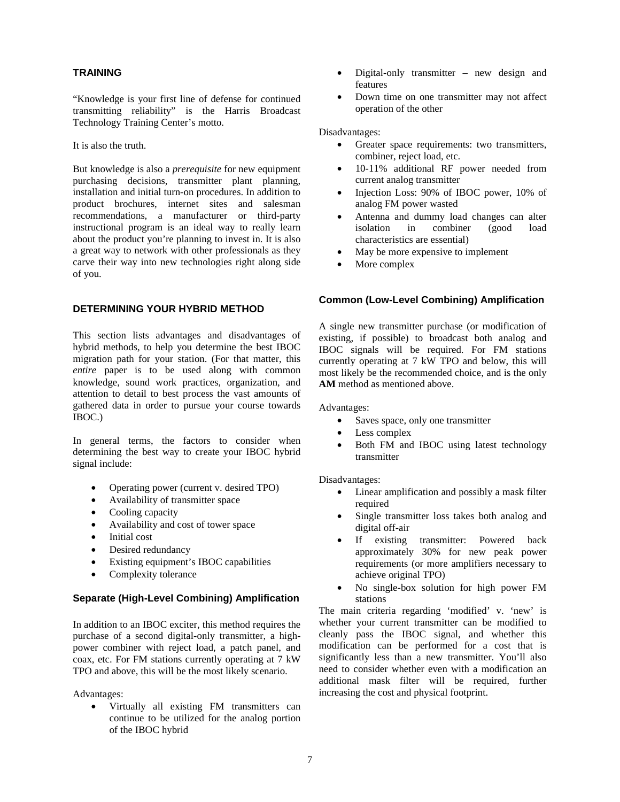# **TRAINING**

"Knowledge is your first line of defense for continued transmitting reliability" is the Harris Broadcast Technology Training Center's motto.

It is also the truth.

But knowledge is also a *prerequisite* for new equipment purchasing decisions, transmitter plant planning, installation and initial turn-on procedures. In addition to product brochures, internet sites and salesman recommendations, a manufacturer or third-party instructional program is an ideal way to really learn about the product you're planning to invest in. It is also a great way to network with other professionals as they carve their way into new technologies right along side of you.

# **DETERMINING YOUR HYBRID METHOD**

This section lists advantages and disadvantages of hybrid methods, to help you determine the best IBOC migration path for your station. (For that matter, this *entire* paper is to be used along with common knowledge, sound work practices, organization, and attention to detail to best process the vast amounts of gathered data in order to pursue your course towards IBOC.)

In general terms, the factors to consider when determining the best way to create your IBOC hybrid signal include:

- Operating power (current v. desired TPO)
- Availability of transmitter space
- Cooling capacity
- Availability and cost of tower space
- Initial cost
- Desired redundancy
- Existing equipment's IBOC capabilities
- Complexity tolerance

## **Separate (High-Level Combining) Amplification**

In addition to an IBOC exciter, this method requires the purchase of a second digital-only transmitter, a highpower combiner with reject load, a patch panel, and coax, etc. For FM stations currently operating at 7 kW TPO and above, this will be the most likely scenario.

Advantages:

• Virtually all existing FM transmitters can continue to be utilized for the analog portion of the IBOC hybrid

- Digital-only transmitter new design and features
- Down time on one transmitter may not affect operation of the other

Disadvantages:

- Greater space requirements: two transmitters, combiner, reject load, etc.
- 10-11% additional RF power needed from current analog transmitter
- Injection Loss: 90% of IBOC power, 10% of analog FM power wasted
- Antenna and dummy load changes can alter isolation in combiner (good load characteristics are essential)
- May be more expensive to implement
- More complex

# **Common (Low-Level Combining) Amplification**

A single new transmitter purchase (or modification of existing, if possible) to broadcast both analog and IBOC signals will be required. For FM stations currently operating at 7 kW TPO and below, this will most likely be the recommended choice, and is the only **AM** method as mentioned above.

Advantages:

- Saves space, only one transmitter
- Less complex
- Both FM and IBOC using latest technology transmitter

## Disadvantages:

- Linear amplification and possibly a mask filter required
- Single transmitter loss takes both analog and digital off-air
- If existing transmitter: Powered back approximately 30% for new peak power requirements (or more amplifiers necessary to achieve original TPO)
- No single-box solution for high power FM stations

The main criteria regarding 'modified' v. 'new' is whether your current transmitter can be modified to cleanly pass the IBOC signal, and whether this modification can be performed for a cost that is significantly less than a new transmitter. You'll also need to consider whether even with a modification an additional mask filter will be required, further increasing the cost and physical footprint.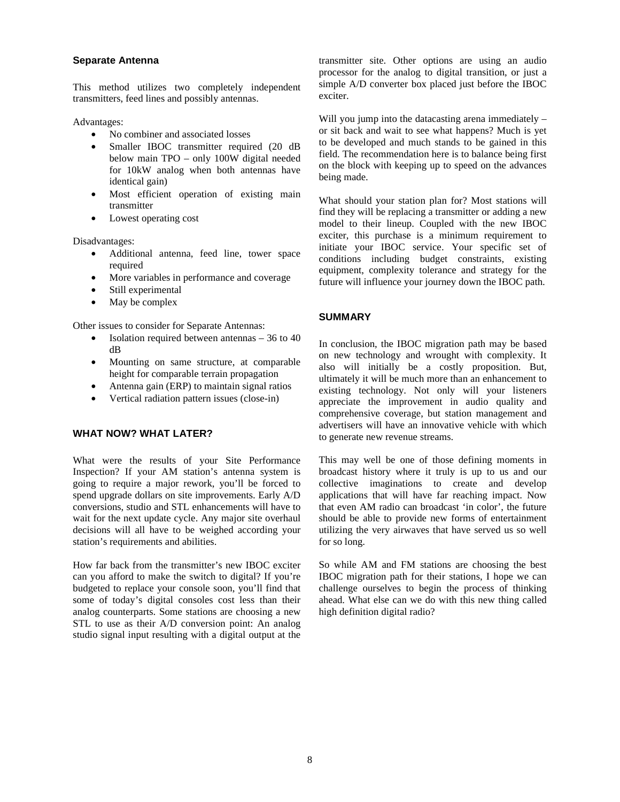#### **Separate Antenna**

This method utilizes two completely independent transmitters, feed lines and possibly antennas.

Advantages:

- No combiner and associated losses
- Smaller IBOC transmitter required (20 dB below main TPO – only 100W digital needed for 10kW analog when both antennas have identical gain)
- Most efficient operation of existing main transmitter
- Lowest operating cost

Disadvantages:

- Additional antenna, feed line, tower space required
- More variables in performance and coverage
- Still experimental
- May be complex

Other issues to consider for Separate Antennas:

- Isolation required between antennas 36 to 40 dB
- Mounting on same structure, at comparable height for comparable terrain propagation
- Antenna gain (ERP) to maintain signal ratios
- Vertical radiation pattern issues (close-in)

# **WHAT NOW? WHAT LATER?**

What were the results of your Site Performance Inspection? If your AM station's antenna system is going to require a major rework, you'll be forced to spend upgrade dollars on site improvements. Early A/D conversions, studio and STL enhancements will have to wait for the next update cycle. Any major site overhaul decisions will all have to be weighed according your station's requirements and abilities.

How far back from the transmitter's new IBOC exciter can you afford to make the switch to digital? If you're budgeted to replace your console soon, you'll find that some of today's digital consoles cost less than their analog counterparts. Some stations are choosing a new STL to use as their A/D conversion point: An analog studio signal input resulting with a digital output at the

transmitter site. Other options are using an audio processor for the analog to digital transition, or just a simple A/D converter box placed just before the IBOC exciter.

Will you jump into the datacasting arena immediately – or sit back and wait to see what happens? Much is yet to be developed and much stands to be gained in this field. The recommendation here is to balance being first on the block with keeping up to speed on the advances being made.

What should your station plan for? Most stations will find they will be replacing a transmitter or adding a new model to their lineup. Coupled with the new IBOC exciter, this purchase is a minimum requirement to initiate your IBOC service. Your specific set of conditions including budget constraints, existing equipment, complexity tolerance and strategy for the future will influence your journey down the IBOC path.

# **SUMMARY**

In conclusion, the IBOC migration path may be based on new technology and wrought with complexity. It also will initially be a costly proposition. But, ultimately it will be much more than an enhancement to existing technology. Not only will your listeners appreciate the improvement in audio quality and comprehensive coverage, but station management and advertisers will have an innovative vehicle with which to generate new revenue streams.

This may well be one of those defining moments in broadcast history where it truly is up to us and our collective imaginations to create and develop applications that will have far reaching impact. Now that even AM radio can broadcast 'in color', the future should be able to provide new forms of entertainment utilizing the very airwaves that have served us so well for so long.

So while AM and FM stations are choosing the best IBOC migration path for their stations, I hope we can challenge ourselves to begin the process of thinking ahead. What else can we do with this new thing called high definition digital radio?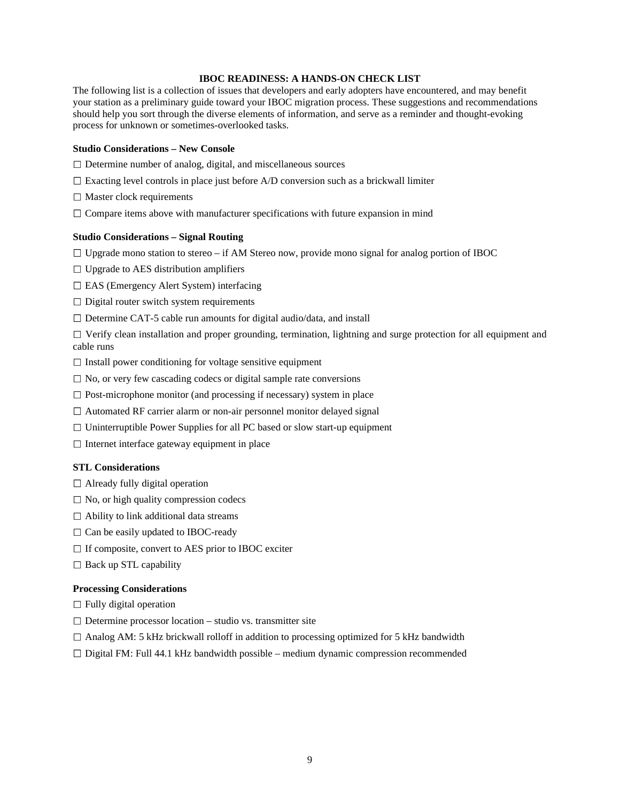## **IBOC READINESS: A HANDS-ON CHECK LIST**

The following list is a collection of issues that developers and early adopters have encountered, and may benefit your station as a preliminary guide toward your IBOC migration process. These suggestions and recommendations should help you sort through the diverse elements of information, and serve as a reminder and thought-evoking process for unknown or sometimes-overlooked tasks.

#### **Studio Considerations – New Console**

- $\Box$  Determine number of analog, digital, and miscellaneous sources
- $\square$  Exacting level controls in place just before A/D conversion such as a brickwall limiter
- $\Box$  Master clock requirements
- $\Box$  Compare items above with manufacturer specifications with future expansion in mind

#### **Studio Considerations – Signal Routing**

 $\Box$  Upgrade mono station to stereo – if AM Stereo now, provide mono signal for analog portion of IBOC

- $\Box$  Upgrade to AES distribution amplifiers
- $\Box$  EAS (Emergency Alert System) interfacing
- $\Box$  Digital router switch system requirements
- $\square$  Determine CAT-5 cable run amounts for digital audio/data, and install

 $\Box$  Verify clean installation and proper grounding, termination, lightning and surge protection for all equipment and cable runs

- $\Box$  Install power conditioning for voltage sensitive equipment
- $\square$  No, or very few cascading codecs or digital sample rate conversions
- $\Box$  Post-microphone monitor (and processing if necessary) system in place
- $\Box$  Automated RF carrier alarm or non-air personnel monitor delayed signal
- $\Box$  Uninterruptible Power Supplies for all PC based or slow start-up equipment
- $\Box$  Internet interface gateway equipment in place

#### **STL Considerations**

- $\Box$  Already fully digital operation
- $\Box$  No, or high quality compression codecs
- $\Box$  Ability to link additional data streams
- $\Box$  Can be easily updated to IBOC-ready
- $\Box$  If composite, convert to AES prior to IBOC exciter
- $\Box$  Back up STL capability

#### **Processing Considerations**

- $\Box$  Fully digital operation
- $\square$  Determine processor location studio vs. transmitter site
- $\Box$  Analog AM: 5 kHz brickwall rolloff in addition to processing optimized for 5 kHz bandwidth
- $\Box$  Digital FM: Full 44.1 kHz bandwidth possible medium dynamic compression recommended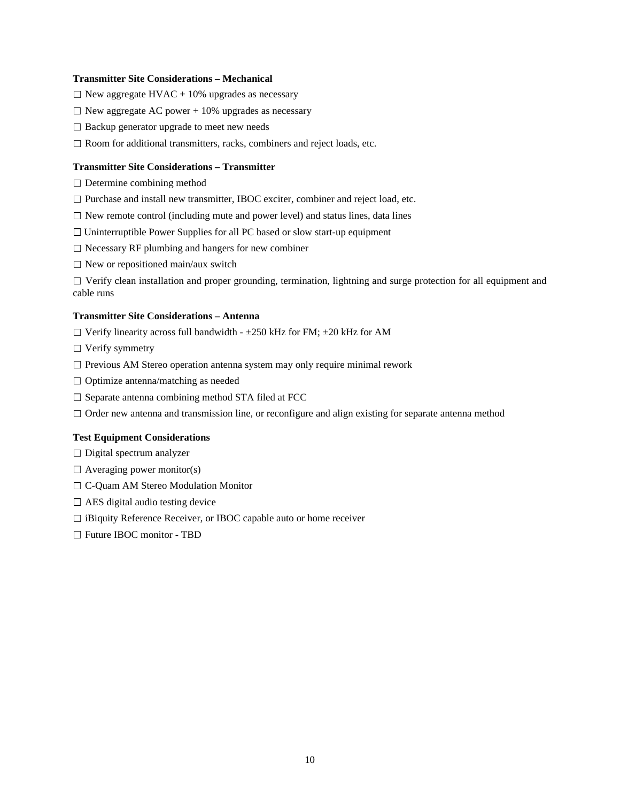## **Transmitter Site Considerations – Mechanical**

- $\Box$  New aggregate HVAC + 10% upgrades as necessary
- $\Box$  New aggregate AC power + 10% upgrades as necessary
- $\square$  Backup generator upgrade to meet new needs
- $\Box$  Room for additional transmitters, racks, combiners and reject loads, etc.

#### **Transmitter Site Considerations – Transmitter**

- $\Box$  Determine combining method
- $\square$  Purchase and install new transmitter, IBOC exciter, combiner and reject load, etc.
- $\Box$  New remote control (including mute and power level) and status lines, data lines
- $\Box$  Uninterruptible Power Supplies for all PC based or slow start-up equipment
- $\Box$  Necessary RF plumbing and hangers for new combiner
- $\Box$  New or repositioned main/aux switch

 $\Box$  Verify clean installation and proper grounding, termination, lightning and surge protection for all equipment and cable runs

# **Transmitter Site Considerations – Antenna**

- $\Box$  Verify linearity across full bandwidth  $\pm 250$  kHz for FM;  $\pm 20$  kHz for AM
- $\Box$  Verify symmetry
- $\square$  Previous AM Stereo operation antenna system may only require minimal rework
- $\Box$  Optimize antenna/matching as needed
- $\square$  Separate antenna combining method STA filed at FCC
- $\Box$  Order new antenna and transmission line, or reconfigure and align existing for separate antenna method

#### **Test Equipment Considerations**

- $\Box$  Digital spectrum analyzer
- $\Box$  Averaging power monitor(s)
- □ C-Quam AM Stereo Modulation Monitor
- $\Box$  AES digital audio testing device
- $\Box$  iBiquity Reference Receiver, or IBOC capable auto or home receiver
- □ Future IBOC monitor TBD